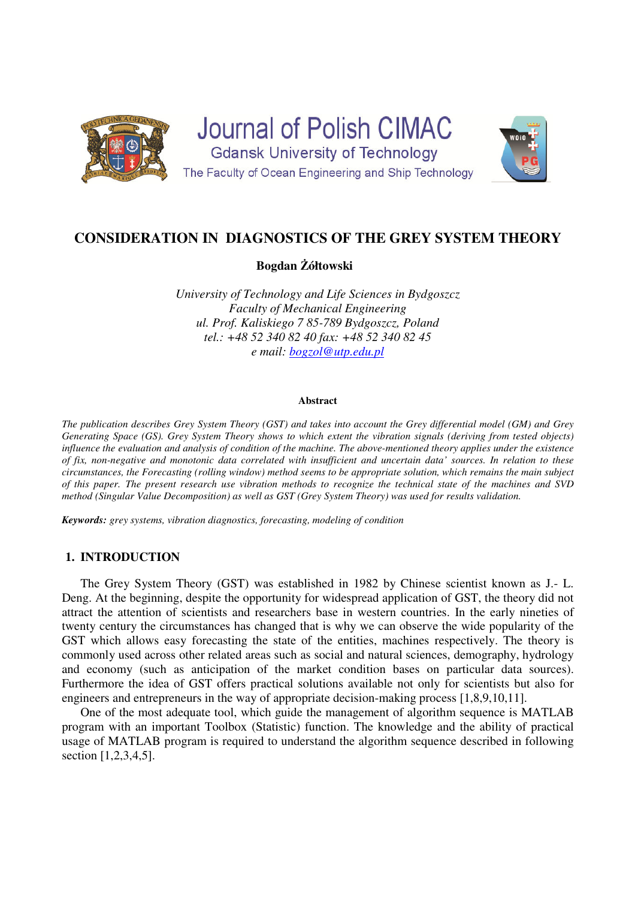

**Journal of Polish CIMAC Gdansk University of Technology** The Faculty of Ocean Engineering and Ship Technology



# **CONSIDERATION IN DIAGNOSTICS OF THE GREY SYSTEM THEORY**

**Bogdan Żółtowski** 

*University of Technology and Life Sciences in Bydgoszcz Faculty of Mechanical Engineering ul. Prof. Kaliskiego 7 85-789 Bydgoszcz, Poland tel.: +48 52 340 82 40 fax: +48 52 340 82 45 e mail: bogzol@utp.edu.pl*

#### **Abstract**

*The publication describes Grey System Theory (GST) and takes into account the Grey differential model (GM) and Grey Generating Space (GS). Grey System Theory shows to which extent the vibration signals (deriving from tested objects) influence the evaluation and analysis of condition of the machine. The above-mentioned theory applies under the existence of fix, non-negative and monotonic data correlated with insufficient and uncertain data' sources. In relation to these circumstances, the Forecasting (rolling window) method seems to be appropriate solution, which remains the main subject of this paper. The present research use vibration methods to recognize the technical state of the machines and SVD method (Singular Value Decomposition) as well as GST (Grey System Theory) was used for results validation.*

*Keywords: grey systems, vibration diagnostics, forecasting, modeling of condition* 

## **1. INTRODUCTION**

The Grey System Theory (GST) was established in 1982 by Chinese scientist known as J.- L. Deng. At the beginning, despite the opportunity for widespread application of GST, the theory did not attract the attention of scientists and researchers base in western countries. In the early nineties of twenty century the circumstances has changed that is why we can observe the wide popularity of the GST which allows easy forecasting the state of the entities, machines respectively. The theory is commonly used across other related areas such as social and natural sciences, demography, hydrology and economy (such as anticipation of the market condition bases on particular data sources). Furthermore the idea of GST offers practical solutions available not only for scientists but also for engineers and entrepreneurs in the way of appropriate decision-making process [1,8,9,10,11].

One of the most adequate tool, which guide the management of algorithm sequence is MATLAB program with an important Toolbox (Statistic) function. The knowledge and the ability of practical usage of MATLAB program is required to understand the algorithm sequence described in following section [1,2,3,4,5].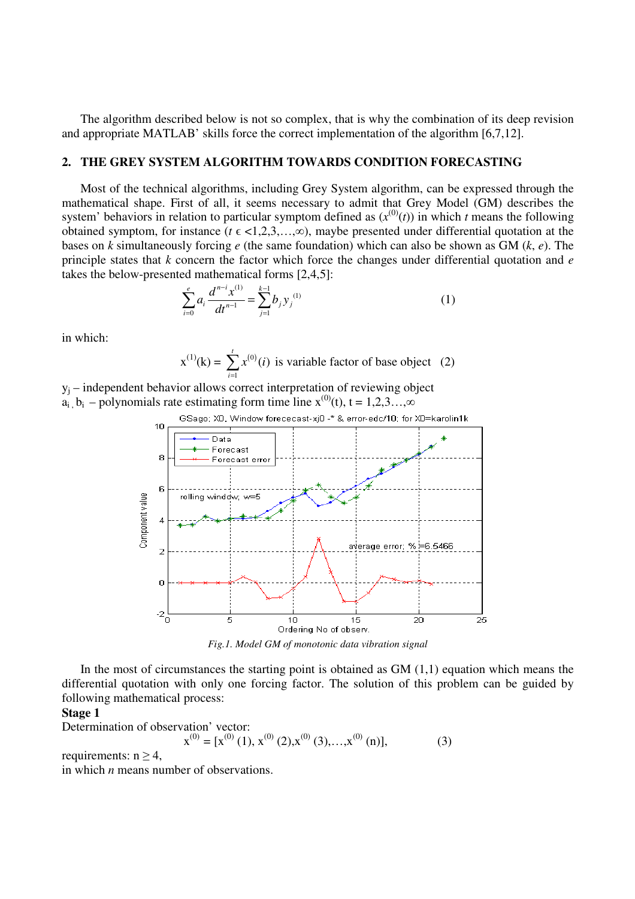The algorithm described below is not so complex, that is why the combination of its deep revision and appropriate MATLAB' skills force the correct implementation of the algorithm [6,7,12].

## **2. THE GREY SYSTEM ALGORITHM TOWARDS CONDITION FORECASTING**

Most of the technical algorithms, including Grey System algorithm, can be expressed through the mathematical shape. First of all, it seems necessary to admit that Grey Model (GM) describes the system' behaviors in relation to particular symptom defined as  $(x^{(0)}(t))$  in which *t* means the following obtained symptom, for instance ( $t \in \langle 1, 2, 3, \ldots, \infty \rangle$ ), maybe presented under differential quotation at the bases on *k* simultaneously forcing *e* (the same foundation) which can also be shown as GM (*k*, *e*). The principle states that *k* concern the factor which force the changes under differential quotation and *e* takes the below-presented mathematical forms [2,4,5]:

$$
\sum_{i=0}^{e} a_i \frac{d^{n-i} x^{(1)}}{dt^{n-1}} = \sum_{j=1}^{k-1} b_j y_j^{(1)}
$$
(1)

in which:

$$
x^{(1)}(k) = \sum_{i=1}^{t} x^{(0)}(i)
$$
 is variable factor of base object (2)

yj – independent behavior allows correct interpretation of reviewing object  $a_i$ ,  $b_i$  – polynomials rate estimating form time line  $x^{(0)}(t)$ , t = 1,2,3…, $\infty$ 



*Fig.1. Model GM of monotonic data vibration signal* 

In the most of circumstances the starting point is obtained as  $GM(1,1)$  equation which means the differential quotation with only one forcing factor. The solution of this problem can be guided by following mathematical process:

#### **Stage 1**

Determination of observation' vector:

$$
\mathbf{x}^{(0)} = [\mathbf{x}^{(0)}(1), \mathbf{x}^{(0)}(2), \mathbf{x}^{(0)}(3), \dots, \mathbf{x}^{(0)}(n)],\tag{3}
$$

requirements:  $n \geq 4$ ,

in which *n* means number of observations.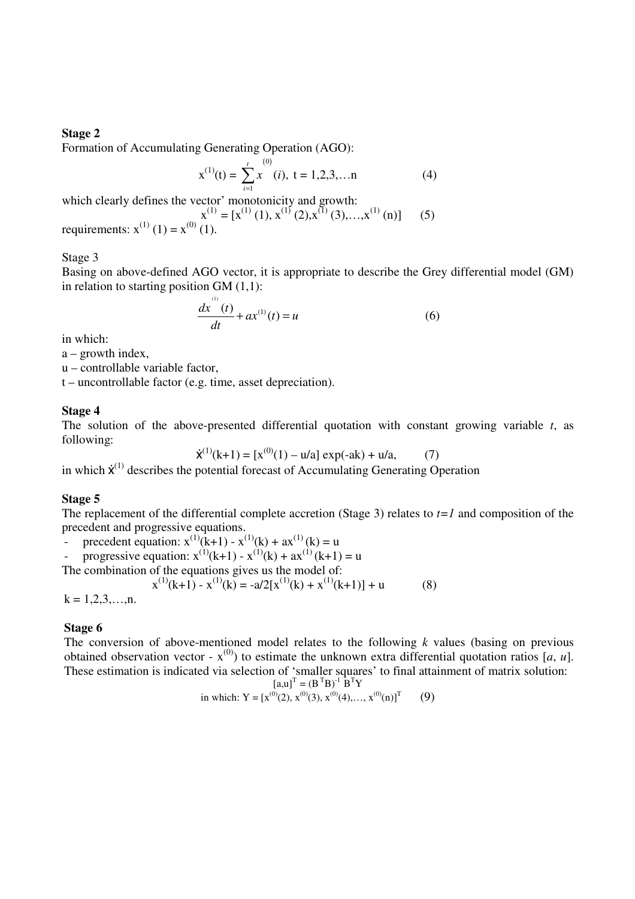## **Stage 2**

Formation of Accumulating Generating Operation (AGO):

$$
x^{(1)}(t) = \sum_{i=1}^{t} x^{(0)}(i), \ t = 1, 2, 3, \dots n
$$
 (4)

which clearly defines the vector' monotonicity and growth:

(1)

$$
x^{(1)} = [x^{(1)}(1), x^{(1)}(2), x^{(1)}(3),...,x^{(1)}(n)]
$$
 (5)  
requirements:  $x^{(1)}(1) = x^{(0)}(1)$ .

Stage 3

Basing on above-defined AGO vector, it is appropriate to describe the Grey differential model (GM) in relation to starting position  $GM(1,1)$ :

$$
\frac{dx(t)}{dt} + ax^{(1)}(t) = u
$$
 (6)

in which:

a – growth index,

u – controllable variable factor,

t – uncontrollable factor (e.g. time, asset depreciation).

## **Stage 4**

The solution of the above-presented differential quotation with constant growing variable *t*, as following:

$$
\dot{\mathbf{x}}^{(1)}(\mathbf{k}+1) = [x^{(0)}(1) - u/a] \exp(-ak) + u/a,
$$
 (7)

in which  $\dot{x}^{(1)}$  describes the potential forecast of Accumulating Generating Operation

#### **Stage 5**

The replacement of the differential complete accretion (Stage 3) relates to *t=1* and composition of the precedent and progressive equations.

precedent equation:  $x^{(1)}(k+1) - x^{(1)}(k) + ax^{(1)}(k) = u$ <br>
- progressive equation:  $x^{(1)}(k+1) - x^{(1)}(k) + ax^{(1)}(k+1)$ 

progressive equation:  $x^{(1)}(k+1) - x^{(1)}(k) + ax^{(1)}(k+1) = u$ 

The combination of the equations gives us the model of:

$$
x^{(1)}(k+1) - x^{(1)}(k) = -a/2[x^{(1)}(k) + x^{(1)}(k+1)] + u
$$
(8)

 $k = 1, 2, 3, \ldots, n$ .

## **Stage 6**

The conversion of above-mentioned model relates to the following *k* values (basing on previous obtained observation vector -  $x^{(0)}$  to estimate the unknown extra differential quotation ratios [*a*, *u*]. These estimation is indicated via selection of 'smaller squares' to final attainment of matrix solution:

$$
\begin{bmatrix} \mathbf{a}, \mathbf{u} \end{bmatrix}^{\mathrm{T}} = (\mathbf{B}^{\mathrm{T}} \mathbf{B})^{-1} \mathbf{B}^{\mathrm{T}} \mathbf{Y}
$$

in which: 
$$
Y = [x^{(0)}(2), x^{(0)}(3), x^{(0)}(4),..., x^{(0)}(n)]^T
$$
 (9)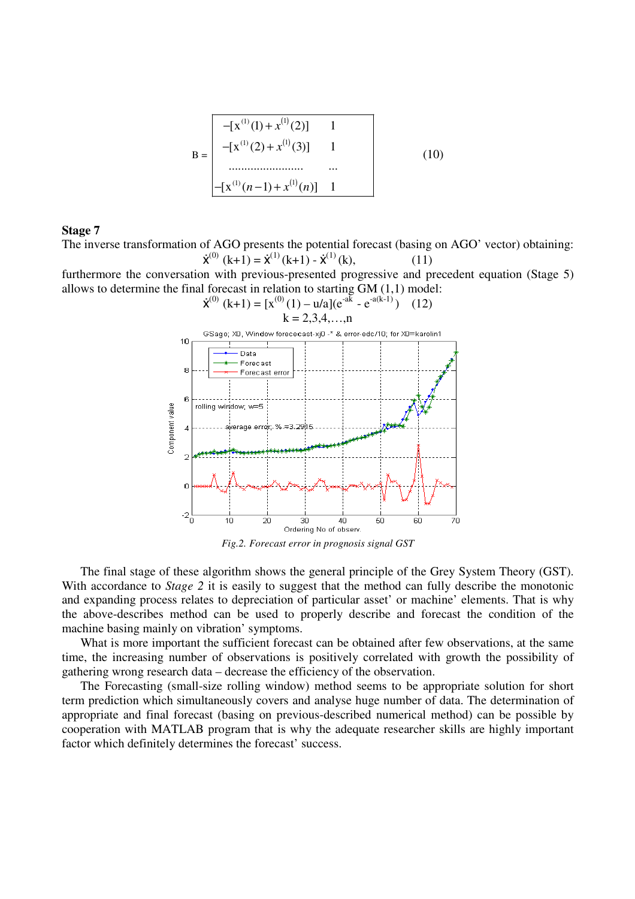$$
B = \begin{bmatrix} -(x^{(1)}(1) + x^{(1)}(2)) & 1 \\ -[x^{(1)}(2) + x^{(1)}(3)] & 1 \\ \dots \\ \dots \\ -[x^{(1)}(n-1) + x^{(1)}(n)] & 1 \end{bmatrix}
$$
 (10)

## **Stage 7**

The inverse transformation of AGO presents the potential forecast (basing on AGO' vector) obtaining:  $\dot{\mathbf{x}}^{(0)}$  (k+1) =  $\dot{\mathbf{x}}^{(1)}$  (k+1) -  $\dot{\mathbf{x}}^{(1)}$  (k), (11)

furthermore the conversation with previous-presented progressive and precedent equation (Stage 5) allows to determine the final forecast in relation to starting GM (1,1) model:



*Fig.2. Forecast error in prognosis signal GST* 

 The final stage of these algorithm shows the general principle of the Grey System Theory (GST). With accordance to *Stage 2* it is easily to suggest that the method can fully describe the monotonic and expanding process relates to depreciation of particular asset' or machine' elements. That is why the above-describes method can be used to properly describe and forecast the condition of the machine basing mainly on vibration' symptoms.

What is more important the sufficient forecast can be obtained after few observations, at the same time, the increasing number of observations is positively correlated with growth the possibility of gathering wrong research data – decrease the efficiency of the observation.

 The Forecasting (small-size rolling window) method seems to be appropriate solution for short term prediction which simultaneously covers and analyse huge number of data. The determination of appropriate and final forecast (basing on previous-described numerical method) can be possible by cooperation with MATLAB program that is why the adequate researcher skills are highly important factor which definitely determines the forecast' success.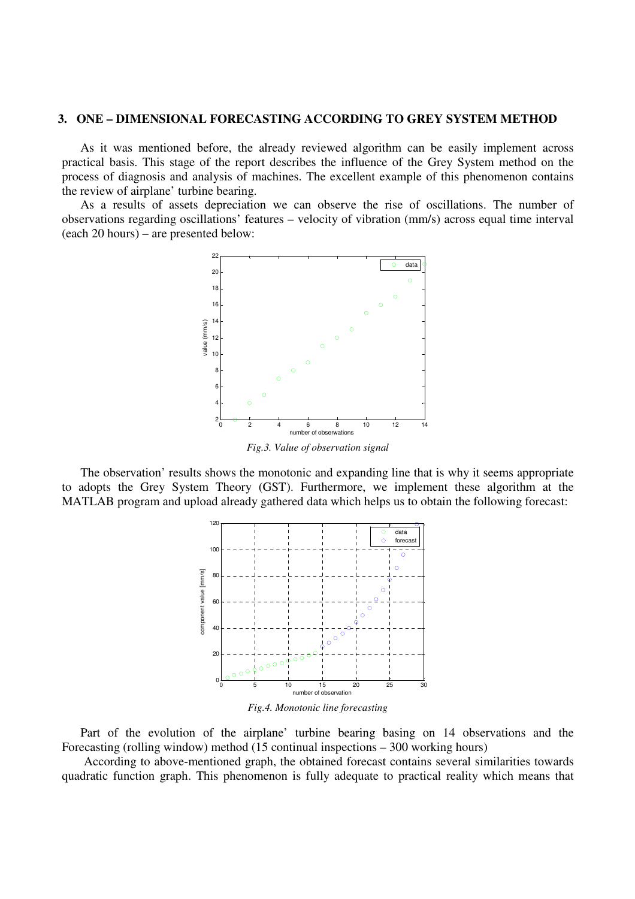#### **3. ONE – DIMENSIONAL FORECASTING ACCORDING TO GREY SYSTEM METHOD**

 As it was mentioned before, the already reviewed algorithm can be easily implement across practical basis. This stage of the report describes the influence of the Grey System method on the process of diagnosis and analysis of machines. The excellent example of this phenomenon contains the review of airplane' turbine bearing.

 As a results of assets depreciation we can observe the rise of oscillations. The number of observations regarding oscillations' features – velocity of vibration (mm/s) across equal time interval (each 20 hours) – are presented below:



*Fig.3. Value of observation signal* 

The observation' results shows the monotonic and expanding line that is why it seems appropriate to adopts the Grey System Theory (GST). Furthermore, we implement these algorithm at the MATLAB program and upload already gathered data which helps us to obtain the following forecast:



*Fig.4. Monotonic line forecasting* 

Part of the evolution of the airplane' turbine bearing basing on 14 observations and the Forecasting (rolling window) method (15 continual inspections – 300 working hours)

According to above-mentioned graph, the obtained forecast contains several similarities towards quadratic function graph. This phenomenon is fully adequate to practical reality which means that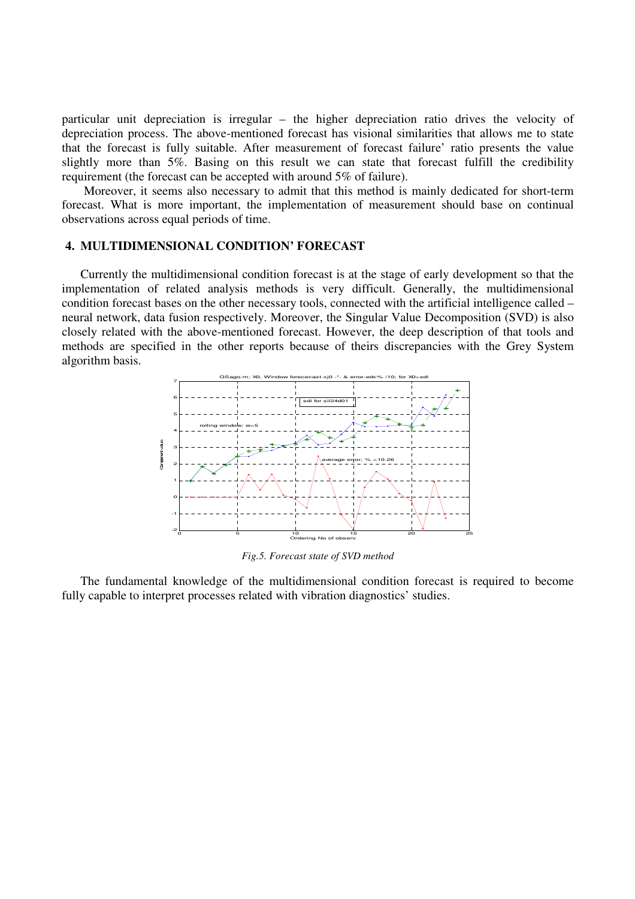particular unit depreciation is irregular – the higher depreciation ratio drives the velocity of depreciation process. The above-mentioned forecast has visional similarities that allows me to state that the forecast is fully suitable. After measurement of forecast failure' ratio presents the value slightly more than 5%. Basing on this result we can state that forecast fulfill the credibility requirement (the forecast can be accepted with around 5% of failure).

Moreover, it seems also necessary to admit that this method is mainly dedicated for short-term forecast. What is more important, the implementation of measurement should base on continual observations across equal periods of time.

## **4. MULTIDIMENSIONAL CONDITION' FORECAST**

Currently the multidimensional condition forecast is at the stage of early development so that the implementation of related analysis methods is very difficult. Generally, the multidimensional condition forecast bases on the other necessary tools, connected with the artificial intelligence called – neural network, data fusion respectively. Moreover, the Singular Value Decomposition (SVD) is also closely related with the above-mentioned forecast. However, the deep description of that tools and methods are specified in the other reports because of theirs discrepancies with the Grey System algorithm basis.



*Fig.5. Forecast state of SVD method* 

The fundamental knowledge of the multidimensional condition forecast is required to become fully capable to interpret processes related with vibration diagnostics' studies.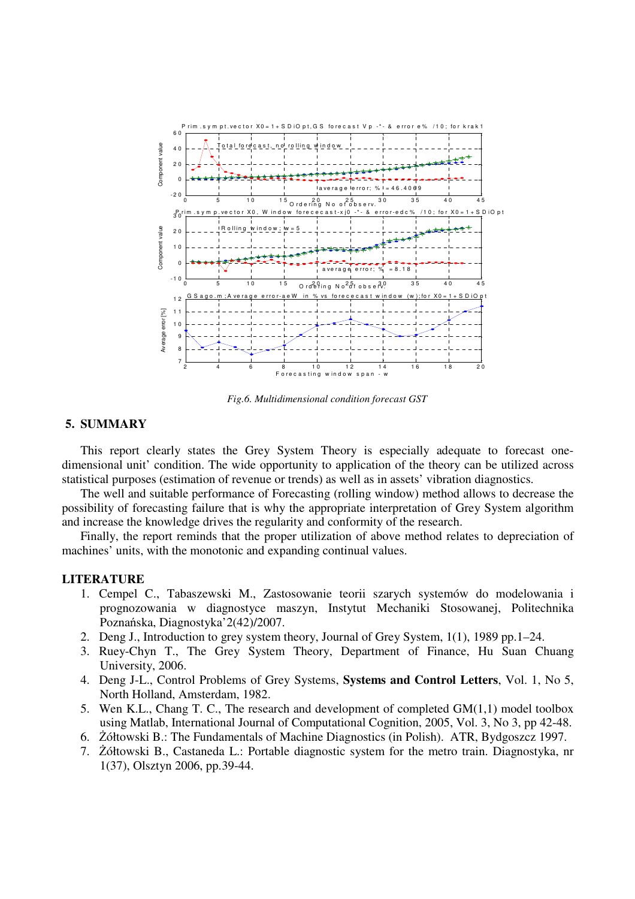

*Fig.6. Multidimensional condition forecast GST* 

## **5. SUMMARY**

This report clearly states the Grey System Theory is especially adequate to forecast onedimensional unit' condition. The wide opportunity to application of the theory can be utilized across statistical purposes (estimation of revenue or trends) as well as in assets' vibration diagnostics.

The well and suitable performance of Forecasting (rolling window) method allows to decrease the possibility of forecasting failure that is why the appropriate interpretation of Grey System algorithm and increase the knowledge drives the regularity and conformity of the research.

Finally, the report reminds that the proper utilization of above method relates to depreciation of machines' units, with the monotonic and expanding continual values.

## **LITERATURE**

- 1. Cempel C., Tabaszewski M., Zastosowanie teorii szarych systemów do modelowania i prognozowania w diagnostyce maszyn, Instytut Mechaniki Stosowanej, Politechnika Poznańska, Diagnostyka'2(42)/2007.
- 2. Deng J., Introduction to grey system theory, Journal of Grey System, 1(1), 1989 pp.1–24.
- 3. Ruey-Chyn T., The Grey System Theory, Department of Finance, Hu Suan Chuang University, 2006.
- 4. Deng J-L., Control Problems of Grey Systems, **Systems and Control Letters**, Vol. 1, No 5, North Holland, Amsterdam, 1982.
- 5. Wen K.L., Chang T. C., The research and development of completed GM(1,1) model toolbox using Matlab, International Journal of Computational Cognition, 2005, Vol. 3, No 3, pp 42-48.
- 6. Żółtowski B.: The Fundamentals of Machine Diagnostics (in Polish). ATR, Bydgoszcz 1997.
- 7. Żółtowski B., Castaneda L.: Portable diagnostic system for the metro train. Diagnostyka, nr 1(37), Olsztyn 2006, pp.39-44.